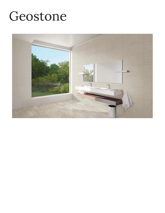## Geostone

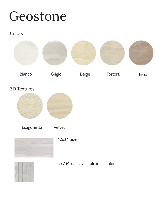## Geostone

## **Colors**